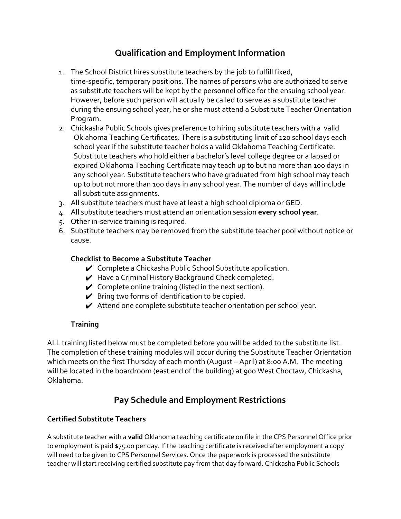# **Qualification and Employment Information**

- 1. The School District hires substitute teachers by the job to fulfill fixed, time-specific, temporary positions. The names of persons who are authorized to serve as substitute teachers will be kept by the personnel office for the ensuing school year. However, before such person will actually be called to serve as a substitute teacher during the ensuing school year, he or she must attend a Substitute Teacher Orientation Program.
- 2. Chickasha Public Schools gives preference to hiring substitute teachers with a valid Oklahoma Teaching Certificates. There is a substituting limit of 120 school days each school year if the substitute teacher holds a valid Oklahoma Teaching Certificate. Substitute teachers who hold either a bachelor's level college degree or a lapsed or expired Oklahoma Teaching Certificate may teach up to but no more than 100 days in any school year. Substitute teachers who have graduated from high school may teach up to but not more than 100 days in any school year. The number of days will include all substitute assignments.
- 3. All substitute teachers must have at least a high school diploma or GED.
- 4. All substitute teachers must attend an orientation session **every school year**.
- 5. Other in-service training is required.
- 6. Substitute teachers may be removed from the substitute teacher pool without notice or cause.

## **Checklist to Become a Substitute Teacher**

- $\vee$  Complete a Chickasha Public School Substitute application.
- ✔ Have a Criminal History Background Check completed.
- $\swarrow$  Complete online training (listed in the next section).
- $\triangleright$  Bring two forms of identification to be copied.
- $\blacktriangleright$  Attend one complete substitute teacher orientation per school year.

## **Training**

ALL training listed below must be completed before you will be added to the substitute list. The completion of these training modules will occur during the Substitute Teacher Orientation which meets on the first Thursday of each month (August – April) at 8:00 A.M. The meeting will be located in the boardroom (east end of the building) at 900 West Choctaw, Chickasha, Oklahoma.

## **Pay Schedule and Employment Restrictions**

## **Certified Substitute Teachers**

A substitute teacher with a **valid** Oklahoma teaching certificate on file in the CPS Personnel Office prior to employment is paid \$75.00 per day. If the teaching certificate is received after employment a copy will need to be given to CPS Personnel Services. Once the paperwork is processed the substitute teacher will start receiving certified substitute pay from that day forward. Chickasha Public Schools